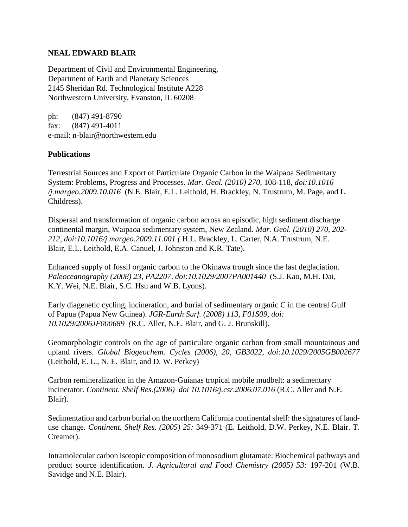## **NEAL EDWARD BLAIR**

Department of Civil and Environmental Engineering, Department of Earth and Planetary Sciences 2145 Sheridan Rd. Technological Institute A228 Northwestern University, Evanston, IL 60208

ph: (847) 491-8790 fax: (847) 491-4011 e-mail: n-blair@northwestern.edu

## **Publications**

Terrestrial Sources and Export of Particulate Organic Carbon in the Waipaoa Sedimentary System: Problems, Progress and Processes. *Mar. Geol. (2010) 270*, 108-118, *doi:10.1016 /j.margeo.2009.10.016* (N.E. Blair, E.L. Leithold, H. Brackley, N. Trustrum, M. Page, and L. Childress).

Dispersal and transformation of organic carbon across an episodic, high sediment discharge continental margin, Waipaoa sedimentary system, New Zealand. *Mar. Geol. (2010) 270, 202- 212, doi:10.1016/j.margeo.2009.11.001 (* H.L*.* Brackley, L. Carter, N.A. Trustrum, N.E. Blair, E.L. Leithold, E.A. Canuel, J. Johnston and K.R. Tate).

Enhanced supply of fossil organic carbon to the Okinawa trough since the last deglaciation. *Paleoceanography (2008) 23, PA2207, doi:10.1029/2007PA001440* (S.J. Kao, M.H. Dai, K.Y. Wei, N.E. Blair, S.C. Hsu and W.B. Lyons).

Early diagenetic cycling, incineration, and burial of sedimentary organic C in the central Gulf of Papua (Papua New Guinea). *JGR-Earth Surf. (2008) 113, F01S09, doi: 10.1029/2006JF000689 (*R.C. Aller, N.E. Blair, and G. J. Brunskill).

Geomorphologic controls on the age of particulate organic carbon from small mountainous and upland rivers. *Global Biogeochem. Cycles (2006), 20, GB3022, doi:10.1029/2005GB002677* (Leithold, E. L., N. E. Blair, and D. W. Perkey)

Carbon remineralization in the Amazon-Guianas tropical mobile mudbelt: a sedimentary incinerator. *Continent. Shelf Res.(2006) doi 10.1016/j.csr.2006.07.016* (R.C. Aller and N.E. Blair).

Sedimentation and carbon burial on the northern California continental shelf: the signatures of landuse change. *Continent. Shelf Res. (2005) 25:* 349-371 (E. Leithold, D.W. Perkey, N.E. Blair. T. Creamer).

Intramolecular carbon isotopic composition of monosodium glutamate: Biochemical pathways and product source identification. *J. Agricultural and Food Chemistry (2005) 53:* 197-201 (W.B. Savidge and N.E. Blair).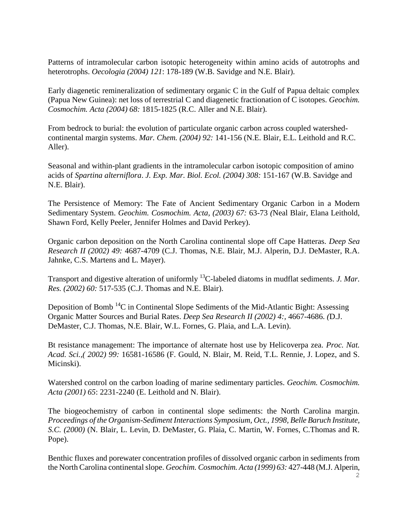Patterns of intramolecular carbon isotopic heterogeneity within amino acids of autotrophs and heterotrophs. *Oecologia (2004) 121*: 178-189 (W.B. Savidge and N.E. Blair).

Early diagenetic remineralization of sedimentary organic C in the Gulf of Papua deltaic complex (Papua New Guinea): net loss of terrestrial C and diagenetic fractionation of C isotopes. *Geochim. Cosmochim. Acta (2004) 68:* 1815-1825 (R.C. Aller and N.E. Blair).

From bedrock to burial: the evolution of particulate organic carbon across coupled watershedcontinental margin systems. *Mar. Chem. (2004) 92:* 141-156 (N.E. Blair, E.L. Leithold and R.C. Aller).

Seasonal and within-plant gradients in the intramolecular carbon isotopic composition of amino acids of *Spartina alterniflora*. *J. Exp. Mar. Biol. Ecol. (2004) 308:* 151-167 (W.B. Savidge and N.E. Blair).

The Persistence of Memory: The Fate of Ancient Sedimentary Organic Carbon in a Modern Sedimentary System. *Geochim. Cosmochim. Acta, (2003) 67:* 63-73 *(*Neal Blair, Elana Leithold, Shawn Ford, Kelly Peeler, Jennifer Holmes and David Perkey).

Organic carbon deposition on the North Carolina continental slope off Cape Hatteras. *Deep Sea Research II (2002) 49:* 4687-4709 (C.J. Thomas, N.E. Blair, M.J. Alperin, D.J. DeMaster, R.A. Jahnke, C.S. Martens and L. Mayer).

Transport and digestive alteration of uniformly <sup>13</sup>C-labeled diatoms in mudflat sediments. *J. Mar. Res. (2002) 60:* 517-535 (C.J. Thomas and N.E. Blair).

Deposition of Bomb<sup>14</sup>C in Continental Slope Sediments of the Mid-Atlantic Bight: Assessing Organic Matter Sources and Burial Rates. *Deep Sea Research II (2002) 4:,* 4667-4686. *(*D.J. DeMaster, C.J. Thomas, N.E. Blair, W.L. Fornes, G. Plaia, and L.A. Levin).

Bt resistance management: The importance of alternate host use by Helicoverpa zea. *Proc. Nat. Acad. Sci.,( 2002) 99:* 16581-16586 (F. Gould, N. Blair, M. Reid, T.L. Rennie, J. Lopez, and S. Micinski).

Watershed control on the carbon loading of marine sedimentary particles. *Geochim. Cosmochim. Acta (2001) 65*: 2231-2240 (E. Leithold and N. Blair).

The biogeochemistry of carbon in continental slope sediments: the North Carolina margin. *Proceedings of the Organism-Sediment Interactions Symposium, Oct., 1998, Belle Baruch Institute, S.C. (2000)* (N. Blair, L. Levin, D. DeMaster, G. Plaia, C. Martin, W. Fornes, C.Thomas and R. Pope).

Benthic fluxes and porewater concentration profiles of dissolved organic carbon in sediments from the North Carolina continental slope. *Geochim. Cosmochim. Acta (1999) 63:* 427-448 (M.J. Alperin,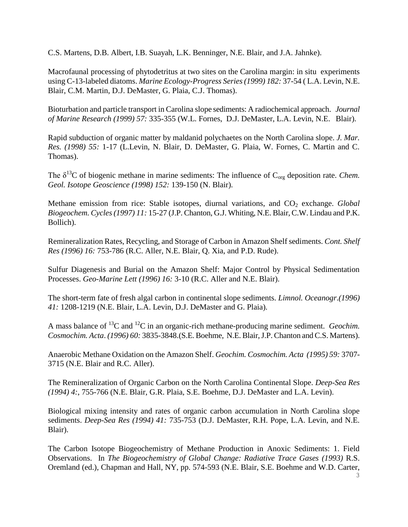C.S. Martens, D.B. Albert, I.B. Suayah, L.K. Benninger, N.E. Blair, and J.A. Jahnke).

Macrofaunal processing of phytodetritus at two sites on the Carolina margin: in situ experiments using C-13-labeled diatoms. *Marine Ecology-Progress Series (1999) 182:* 37-54 ( L.A. Levin, N.E. Blair, C.M. Martin, D.J. DeMaster, G. Plaia, C.J. Thomas).

Bioturbation and particle transport in Carolina slope sediments: A radiochemical approach. *Journal of Marine Research (1999) 57:* 335-355 (W.L. Fornes, D.J. DeMaster, L.A. Levin, N.E. Blair).

Rapid subduction of organic matter by maldanid polychaetes on the North Carolina slope. *J. Mar. Res. (1998) 55:* 1-17 (L.Levin, N. Blair, D. DeMaster, G. Plaia, W. Fornes, C. Martin and C. Thomas).

The  $\delta^{13}$ C of biogenic methane in marine sediments: The influence of C<sub>org</sub> deposition rate. *Chem. Geol. Isotope Geoscience (1998) 152:* 139-150 (N. Blair).

Methane emission from rice: Stable isotopes, diurnal variations, and CO<sub>2</sub> exchange. *Global Biogeochem. Cycles (1997) 11:* 15-27 (J.P. Chanton, G.J. Whiting, N.E. Blair, C.W. Lindau and P.K. Bollich).

Remineralization Rates, Recycling, and Storage of Carbon in Amazon Shelf sediments. *Cont. Shelf Res (1996) 16:* 753-786 (R.C. Aller, N.E. Blair, Q. Xia, and P.D. Rude).

Sulfur Diagenesis and Burial on the Amazon Shelf: Major Control by Physical Sedimentation Processes. *Geo-Marine Lett (1996) 16:* 3-10 (R.C. Aller and N.E. Blair).

The short-term fate of fresh algal carbon in continental slope sediments. *Limnol. Oceanogr*.*(1996) 41:* 1208-1219 (N.E. Blair, L.A. Levin, D.J. DeMaster and G. Plaia).

A mass balance of <sup>13</sup>C and <sup>12</sup>C in an organic-rich methane-producing marine sediment. *Geochim. Cosmochim. Acta*. *(1996) 60:* 3835-3848.(S.E. Boehme, N.E. Blair, J.P. Chanton and C.S. Martens).

Anaerobic Methane Oxidation on the Amazon Shelf. *Geochim. Cosmochim. Acta (1995) 59:* 3707- 3715 (N.E. Blair and R.C. Aller).

The Remineralization of Organic Carbon on the North Carolina Continental Slope. *Deep-Sea Res (1994) 4:*, 755-766 (N.E. Blair, G.R. Plaia, S.E. Boehme, D.J. DeMaster and L.A. Levin).

Biological mixing intensity and rates of organic carbon accumulation in North Carolina slope sediments. *Deep-Sea Res (1994) 41:* 735-753 (D.J. DeMaster, R.H. Pope, L.A. Levin, and N.E. Blair).

The Carbon Isotope Biogeochemistry of Methane Production in Anoxic Sediments: 1. Field Observations. In *The Biogeochemistry of Global Change: Radiative Trace Gases (1993)* R.S. Oremland (ed.), Chapman and Hall, NY, pp. 574-593 (N.E. Blair, S.E. Boehme and W.D. Carter,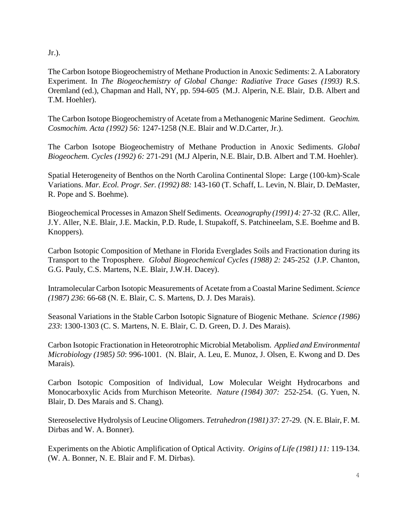Jr.).

The Carbon Isotope Biogeochemistry of Methane Production in Anoxic Sediments: 2. A Laboratory Experiment. In *The Biogeochemistry of Global Change: Radiative Trace Gases (1993)* R.S. Oremland (ed.), Chapman and Hall, NY, pp. 594-605 (M.J. Alperin, N.E. Blair, D.B. Albert and T.M. Hoehler).

The Carbon Isotope Biogeochemistry of Acetate from a Methanogenic Marine Sediment. G*eochim. Cosmochim. Acta (1992) 56:* 1247-1258 (N.E. Blair and W.D.Carter, Jr.).

The Carbon Isotope Biogeochemistry of Methane Production in Anoxic Sediments. *Global Biogeochem. Cycles (1992) 6:* 271-291 (M.J Alperin, N.E. Blair, D.B. Albert and T.M. Hoehler).

Spatial Heterogeneity of Benthos on the North Carolina Continental Slope: Large (100-km)-Scale Variations. *Mar. Ecol. Progr. Ser. (1992) 88:* 143-160 (T. Schaff, L. Levin, N. Blair, D. DeMaster, R. Pope and S. Boehme).

Biogeochemical Processes in Amazon Shelf Sediments. *Oceanography (1991) 4:* 27-32 (R.C. Aller, J.Y. Aller, N.E. Blair, J.E. Mackin, P.D. Rude, I. Stupakoff, S. Patchineelam, S.E. Boehme and B. Knoppers).

Carbon Isotopic Composition of Methane in Florida Everglades Soils and Fractionation during its Transport to the Troposphere. *Global Biogeochemical Cycles (1988) 2:* 245-252 (J.P. Chanton, G.G. Pauly, C.S. Martens, N.E. Blair, J.W.H. Dacey).

Intramolecular Carbon Isotopic Measurements of Acetate from a Coastal Marine Sediment. *Science (1987) 236*: 66-68 (N. E. Blair, C. S. Martens, D. J. Des Marais).

Seasonal Variations in the Stable Carbon Isotopic Signature of Biogenic Methane. *Science (1986) 233*: 1300-1303 (C. S. Martens, N. E. Blair, C. D. Green, D. J. Des Marais).

Carbon Isotopic Fractionation in Heteorotrophic Microbial Metabolism. *Applied and Environmental Microbiology (1985) 50*: 996-1001. (N. Blair, A. Leu, E. Munoz, J. Olsen, E. Kwong and D. Des Marais).

Carbon Isotopic Composition of Individual, Low Molecular Weight Hydrocarbons and Monocarboxylic Acids from Murchison Meteorite. *Nature (1984) 307:* 252-254. (G. Yuen, N. Blair, D. Des Marais and S. Chang).

Stereoselective Hydrolysis of Leucine Oligomers. *Tetrahedron (1981) 37:* 27-29. (N. E. Blair, F. M. Dirbas and W. A. Bonner).

Experiments on the Abiotic Amplification of Optical Activity. *Origins of Life (1981) 11:* 119-134. (W. A. Bonner, N. E. Blair and F. M. Dirbas).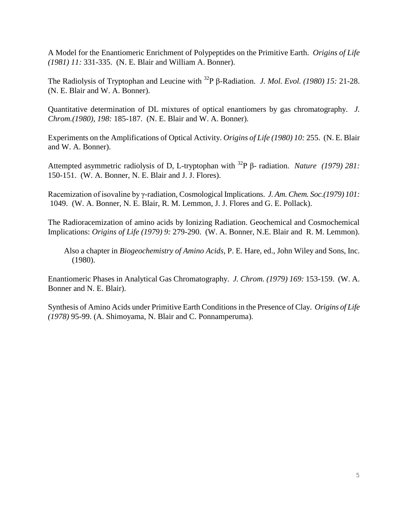A Model for the Enantiomeric Enrichment of Polypeptides on the Primitive Earth. *Origins of Life (1981) 11:* 331-335. (N. E. Blair and William A. Bonner).

The Radiolysis of Tryptophan and Leucine with <sup>32</sup>P β-Radiation. *J. Mol. Evol. (1980) 15:* 21-28. (N. E. Blair and W. A. Bonner).

Quantitative determination of DL mixtures of optical enantiomers by gas chromatography. *J. Chrom.(1980), 198:* 185-187. (N. E. Blair and W. A. Bonner).

Experiments on the Amplifications of Optical Activity. *Origins of Life (1980) 10:* 255. (N. E. Blair and W. A. Bonner).

Attempted asymmetric radiolysis of D, L-tryptophan with <sup>32</sup>P β- radiation. *Nature (1979) 281:* 150-151. (W. A. Bonner, N. E. Blair and J. J. Flores).

Racemization of isovaline by γ-radiation, Cosmological Implications. *J. Am. Chem. Soc.(1979) 101:* 1049. (W. A. Bonner, N. E. Blair, R. M. Lemmon, J. J. Flores and G. E. Pollack).

The Radioracemization of amino acids by Ionizing Radiation. Geochemical and Cosmochemical Implications: *Origins of Life (1979) 9:* 279-290. (W. A. Bonner, N.E. Blair and R. M. Lemmon).

 Also a chapter in *Biogeochemistry of Amino Acids*, P. E. Hare, ed., John Wiley and Sons, Inc. (1980).

Enantiomeric Phases in Analytical Gas Chromatography. *J. Chrom. (1979) 169:* 153-159. (W. A. Bonner and N. E. Blair).

Synthesis of Amino Acids under Primitive Earth Conditions in the Presence of Clay. *Origins of Life (1978)* 95-99. (A. Shimoyama, N. Blair and C. Ponnamperuma).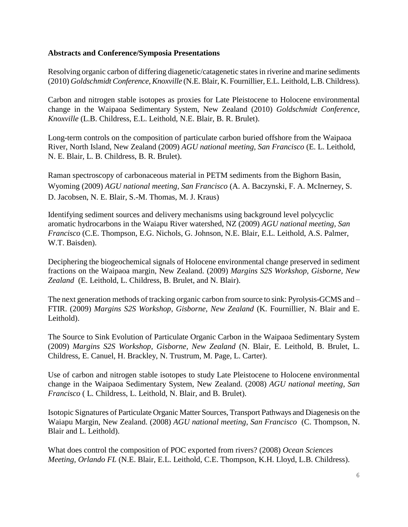## **Abstracts and Conference/Symposia Presentations**

Resolving organic carbon of differing diagenetic/catagenetic states in riverine and marine sediments (2010) *Goldschmidt Conference, Knoxville* (N.E. Blair, K. Fournillier, E.L. Leithold, L.B. Childress).

Carbon and nitrogen stable isotopes as proxies for Late Pleistocene to Holocene environmental change in the Waipaoa Sedimentary System, New Zealand (2010) *Goldschmidt Conference, Knoxville* (L.B. Childress, E.L. Leithold, N.E. Blair, B. R. Brulet).

Long-term controls on the composition of particulate carbon buried offshore from the Waipaoa River, North Island, New Zealand (2009) *AGU national meeting, San Francisco* (E. L. Leithold, N. E. Blair, L. B. Childress, B. R. Brulet).

Raman spectroscopy of carbonaceous material in PETM sediments from the Bighorn Basin, Wyoming (2009) *AGU national meeting, San Francisco* (A. A. Baczynski, F. A. McInerney, S. D. Jacobsen, N. E. Blair, S.-M. Thomas, M. J. Kraus)

Identifying sediment sources and delivery mechanisms using background level polycyclic aromatic hydrocarbons in the Waiapu River watershed, NZ (2009) *AGU national meeting, San Francisco* (C.E. Thompson, E.G. Nichols, G. Johnson, N.E. Blair, E.L. Leithold, A.S. Palmer, W.T. Baisden).

Deciphering the biogeochemical signals of Holocene environmental change preserved in sediment fractions on the Waipaoa margin, New Zealand. (2009) *Margins S2S Workshop, Gisborne, New Zealand* (E. Leithold, L. Childress, B. Brulet, and N. Blair).

The next generation methods of tracking organic carbon from source to sink: Pyrolysis-GCMS and – FTIR. (2009) *Margins S2S Workshop, Gisborne, New Zealand* (K. Fournillier, N. Blair and E. Leithold).

The Source to Sink Evolution of Particulate Organic Carbon in the Waipaoa Sedimentary System (2009) *Margins S2S Workshop, Gisborne, New Zealand* (N. Blair, E. Leithold, B. Brulet, L. Childress, E. Canuel, H. Brackley, N. Trustrum, M. Page, L. Carter).

Use of carbon and nitrogen stable isotopes to study Late Pleistocene to Holocene environmental change in the Waipaoa Sedimentary System, New Zealand. (2008) *AGU national meeting, San Francisco* ( L. Childress, L. Leithold, N. Blair, and B. Brulet).

Isotopic Signatures of Particulate Organic Matter Sources, Transport Pathways and Diagenesis on the Waiapu Margin, New Zealand. (2008) *AGU national meeting, San Francisco* (C. Thompson, N. Blair and L. Leithold).

What does control the composition of POC exported from rivers? (2008) *Ocean Sciences Meeting, Orlando FL* (N.E. Blair, E.L. Leithold, C.E. Thompson, K.H. Lloyd, L.B. Childress).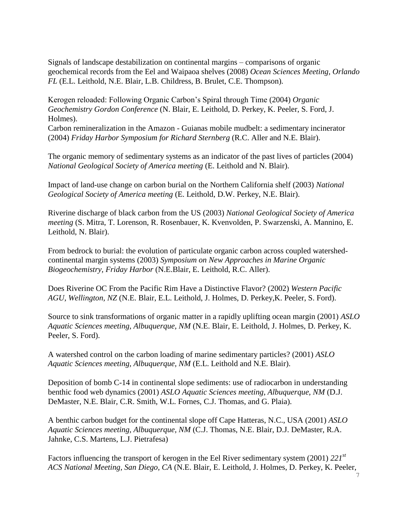Signals of landscape destabilization on continental margins – comparisons of organic geochemical records from the Eel and Waipaoa shelves (2008) *Ocean Sciences Meeting, Orlando FL* (E.L. Leithold, N.E. Blair, L.B. Childress, B. Brulet, C.E. Thompson)*.*

Kerogen reloaded: Following Organic Carbon's Spiral through Time (2004) *Organic Geochemistry Gordon Conference* (N. Blair, E. Leithold, D. Perkey, K. Peeler, S. Ford, J. Holmes).

Carbon remineralization in the Amazon - Guianas mobile mudbelt: a sedimentary incinerator (2004) *Friday Harbor Symposium for Richard Sternberg* (R.C. Aller and N.E. Blair).

The organic memory of sedimentary systems as an indicator of the past lives of particles (2004) *National Geological Society of America meeting* (E. Leithold and N. Blair).

Impact of land-use change on carbon burial on the Northern California shelf (2003) *National Geological Society of America meeting* (E. Leithold, D.W. Perkey, N.E. Blair).

Riverine discharge of black carbon from the US (2003) *National Geological Society of America meeting* (S. Mitra, T. Lorenson, R. Rosenbauer, K. Kvenvolden, P. Swarzenski, A. Mannino, E. Leithold, N. Blair).

From bedrock to burial: the evolution of particulate organic carbon across coupled watershedcontinental margin systems (2003) *Symposium on New Approaches in Marine Organic Biogeochemistry, Friday Harbor* (N.E.Blair, E. Leithold, R.C. Aller).

Does Riverine OC From the Pacific Rim Have a Distinctive Flavor? (2002) *Western Pacific AGU, Wellington, NZ* (N.E. Blair, E.L. Leithold, J. Holmes, D. Perkey,K. Peeler, S. Ford).

Source to sink transformations of organic matter in a rapidly uplifting ocean margin (2001) *ASLO Aquatic Sciences meeting, Albuquerque, NM* (N.E. Blair, E. Leithold, J. Holmes, D. Perkey, K. Peeler, S. Ford).

A watershed control on the carbon loading of marine sedimentary particles? (2001) *ASLO Aquatic Sciences meeting, Albuquerque, NM* (E.L. Leithold and N.E. Blair).

Deposition of bomb C-14 in continental slope sediments: use of radiocarbon in understanding benthic food web dynamics (2001) *ASLO Aquatic Sciences meeting, Albuquerque, NM* (D.J. DeMaster, N.E. Blair, C.R. Smith, W.L. Fornes, C.J. Thomas, and G. Plaia).

A benthic carbon budget for the continental slope off Cape Hatteras, N.C., USA (2001) *ASLO Aquatic Sciences meeting, Albuquerque, NM* (C.J. Thomas, N.E. Blair, D.J. DeMaster, R.A. Jahnke, C.S. Martens, L.J. Pietrafesa)

Factors influencing the transport of kerogen in the Eel River sedimentary system (2001) *221st ACS National Meeting, San Diego, CA* (N.E. Blair, E. Leithold, J. Holmes, D. Perkey, K. Peeler,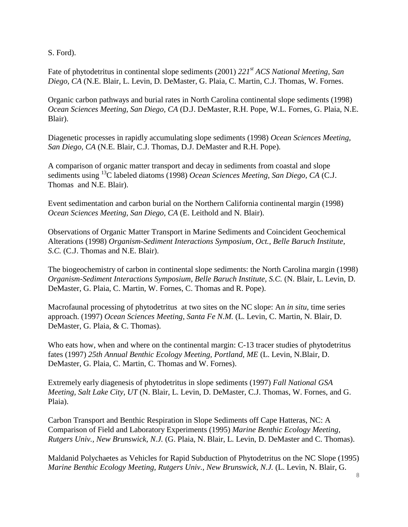S. Ford).

Fate of phytodetritus in continental slope sediments (2001) *221st ACS National Meeting, San Diego, CA* (N.E. Blair, L. Levin, D. DeMaster, G. Plaia, C. Martin, C.J. Thomas, W. Fornes.

Organic carbon pathways and burial rates in North Carolina continental slope sediments (1998) *Ocean Sciences Meeting, San Diego, CA* (D.J. DeMaster, R.H. Pope, W.L. Fornes, G. Plaia, N.E. Blair).

Diagenetic processes in rapidly accumulating slope sediments (1998) *Ocean Sciences Meeting, San Diego, CA* (N.E. Blair, C.J. Thomas, D.J. DeMaster and R.H. Pope).

A comparison of organic matter transport and decay in sediments from coastal and slope sediments using <sup>13</sup>C labeled diatoms (1998) *Ocean Sciences Meeting, San Diego, CA* (C.J. Thomas and N.E. Blair).

Event sedimentation and carbon burial on the Northern California continental margin (1998) *Ocean Sciences Meeting, San Diego, CA* (E. Leithold and N. Blair).

Observations of Organic Matter Transport in Marine Sediments and Coincident Geochemical Alterations (1998) *Organism-Sediment Interactions Symposium, Oct., Belle Baruch Institute, S.C.* (C.J. Thomas and N.E. Blair).

The biogeochemistry of carbon in continental slope sediments: the North Carolina margin (1998) *Organism-Sediment Interactions Symposium, Belle Baruch Institute, S.C.* (N. Blair, L. Levin, D. DeMaster, G. Plaia, C. Martin, W. Fornes, C. Thomas and R. Pope).

Macrofaunal processing of phytodetritus at two sites on the NC slope: An *in situ*, time series approach. (1997) *Ocean Sciences Meeting, Santa Fe N.M.* (L. Levin, C. Martin, N. Blair, D. DeMaster, G. Plaia, & C. Thomas).

Who eats how, when and where on the continental margin: C-13 tracer studies of phytodetritus fates (1997) *25th Annual Benthic Ecology Meeting, Portland, ME* (L. Levin, N.Blair, D. DeMaster, G. Plaia, C. Martin, C. Thomas and W. Fornes).

Extremely early diagenesis of phytodetritus in slope sediments (1997) *Fall National GSA Meeting, Salt Lake City, UT* (N. Blair, L. Levin, D. DeMaster, C.J. Thomas, W. Fornes, and G. Plaia).

Carbon Transport and Benthic Respiration in Slope Sediments off Cape Hatteras, NC: A Comparison of Field and Laboratory Experiments (1995) *Marine Benthic Ecology Meeting, Rutgers Univ., New Brunswick, N.J.* (G. Plaia, N. Blair, L. Levin, D. DeMaster and C. Thomas).

Maldanid Polychaetes as Vehicles for Rapid Subduction of Phytodetritus on the NC Slope (1995) *Marine Benthic Ecology Meeting, Rutgers Univ., New Brunswick, N.J.* (L. Levin, N. Blair, G.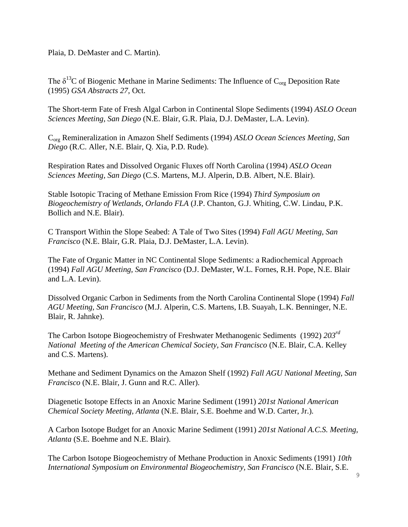Plaia, D. DeMaster and C. Martin).

The  $\delta^{13}$ C of Biogenic Methane in Marine Sediments: The Influence of  $C_{org}$  Deposition Rate (1995) *GSA Abstracts 27*, Oct.

The Short-term Fate of Fresh Algal Carbon in Continental Slope Sediments (1994) *ASLO Ocean Sciences Meeting, San Diego* (N.E. Blair, G.R. Plaia, D.J. DeMaster, L.A. Levin).

Corg Remineralization in Amazon Shelf Sediments (1994) *ASLO Ocean Sciences Meeting, San Diego* (R.C. Aller, N.E. Blair, Q. Xia, P.D. Rude).

Respiration Rates and Dissolved Organic Fluxes off North Carolina (1994) *ASLO Ocean Sciences Meeting, San Diego* (C.S. Martens, M.J. Alperin, D.B. Albert, N.E. Blair).

Stable Isotopic Tracing of Methane Emission From Rice (1994) *Third Symposium on Biogeochemistry of Wetlands, Orlando FLA* (J.P. Chanton, G.J. Whiting, C.W. Lindau, P.K. Bollich and N.E. Blair).

C Transport Within the Slope Seabed: A Tale of Two Sites (1994) *Fall AGU Meeting, San Francisco* (N.E. Blair, G.R. Plaia, D.J. DeMaster, L.A. Levin).

The Fate of Organic Matter in NC Continental Slope Sediments: a Radiochemical Approach (1994) *Fall AGU Meeting, San Francisco* (D.J. DeMaster, W.L. Fornes, R.H. Pope, N.E. Blair and L.A. Levin).

Dissolved Organic Carbon in Sediments from the North Carolina Continental Slope (1994) *Fall AGU Meeting, San Francisco* (M.J. Alperin, C.S. Martens, I.B. Suayah, L.K. Benninger, N.E. Blair, R. Jahnke).

The Carbon Isotope Biogeochemistry of Freshwater Methanogenic Sediments (1992) *203rd National Meeting of the American Chemical Society, San Francisco* (N.E. Blair, C.A. Kelley and C.S. Martens).

Methane and Sediment Dynamics on the Amazon Shelf (1992) *Fall AGU National Meeting, San Francisco* (N.E. Blair, J. Gunn and R.C. Aller).

Diagenetic Isotope Effects in an Anoxic Marine Sediment (1991) *201st National American Chemical Society Meeting, Atlanta* (N.E. Blair, S.E. Boehme and W.D. Carter, Jr.).

A Carbon Isotope Budget for an Anoxic Marine Sediment (1991) *201st National A.C.S. Meeting, Atlanta* (S.E. Boehme and N.E. Blair).

The Carbon Isotope Biogeochemistry of Methane Production in Anoxic Sediments (1991) *10th International Symposium on Environmental Biogeochemistry, San Francisco* (N.E. Blair, S.E.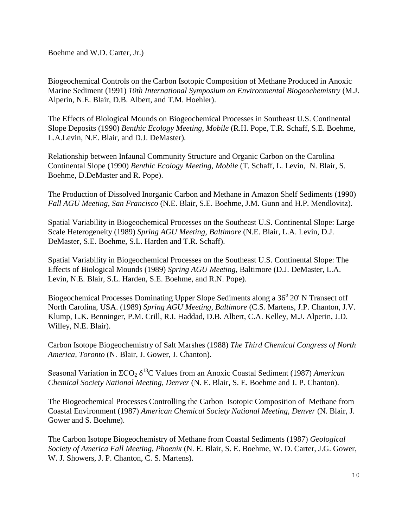Boehme and W.D. Carter, Jr.)

Biogeochemical Controls on the Carbon Isotopic Composition of Methane Produced in Anoxic Marine Sediment (1991) *10th International Symposium on Environmental Biogeochemistry* (M.J. Alperin, N.E. Blair, D.B. Albert, and T.M. Hoehler).

The Effects of Biological Mounds on Biogeochemical Processes in Southeast U.S. Continental Slope Deposits (1990) *Benthic Ecology Meeting, Mobile* (R.H. Pope, T.R. Schaff, S.E. Boehme, L.A.Levin, N.E. Blair, and D.J. DeMaster).

Relationship between Infaunal Community Structure and Organic Carbon on the Carolina Continental Slope (1990) *Benthic Ecology Meeting, Mobile* (T. Schaff, L. Levin, N. Blair, S. Boehme, D.DeMaster and R. Pope).

The Production of Dissolved Inorganic Carbon and Methane in Amazon Shelf Sediments (1990) *Fall AGU Meeting, San Francisco* (N.E. Blair, S.E. Boehme, J.M. Gunn and H.P. Mendlovitz).

Spatial Variability in Biogeochemical Processes on the Southeast U.S. Continental Slope: Large Scale Heterogeneity (1989) *Spring AGU Meeting, Baltimore* (N.E. Blair, L.A. Levin, D.J. DeMaster, S.E. Boehme, S.L. Harden and T.R. Schaff).

Spatial Variability in Biogeochemical Processes on the Southeast U.S. Continental Slope: The Effects of Biological Mounds (1989) *Spring AGU Meeting*, Baltimore (D.J. DeMaster, L.A. Levin, N.E. Blair, S.L. Harden, S.E. Boehme, and R.N. Pope).

Biogeochemical Processes Dominating Upper Slope Sediments along a 36° 20' N Transect off North Carolina, USA. (1989) *Spring AGU Meeting, Baltimore* (C.S. Martens, J.P. Chanton, J.V. Klump, L.K. Benninger, P.M. Crill, R.I. Haddad, D.B. Albert, C.A. Kelley, M.J. Alperin, J.D. Willey, N.E. Blair).

Carbon Isotope Biogeochemistry of Salt Marshes (1988) *The Third Chemical Congress of North America, Toronto* (N. Blair, J. Gower, J. Chanton).

Seasonal Variation in ΣCO<sub>2</sub> δ<sup>13</sup>C Values from an Anoxic Coastal Sediment (1987) *American Chemical Society National Meeting, Denver* (N. E. Blair, S. E. Boehme and J. P. Chanton).

The Biogeochemical Processes Controlling the Carbon Isotopic Composition of Methane from Coastal Environment (1987) *American Chemical Society National Meeting, Denver* (N. Blair, J. Gower and S. Boehme).

The Carbon Isotope Biogeochemistry of Methane from Coastal Sediments (1987) *Geological Society of America Fall Meeting, Phoenix* (N. E. Blair, S. E. Boehme, W. D. Carter, J.G. Gower, W. J. Showers, J. P. Chanton, C. S. Martens).